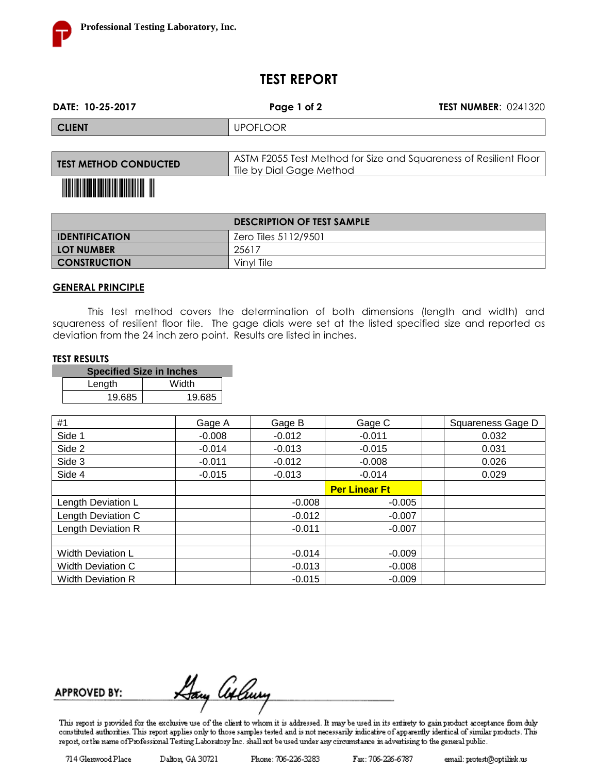

## **TEST REPORT**

| DATE: 10-25-2017             | Page 1 of 2                                                                                   | <b>TEST NUMBER: 0241320</b> |
|------------------------------|-----------------------------------------------------------------------------------------------|-----------------------------|
| <b>CLIENT</b>                | <b>UPOFLOOR</b>                                                                               |                             |
|                              |                                                                                               |                             |
| <b>TEST METHOD CONDUCTED</b> | ASTM F2055 Test Method for Size and Squareness of Resilient Floor<br>Tile by Dial Gage Method |                             |

## <u> III Martin Martin Martin III M</u>

|                         | <b>DESCRIPTION OF TEST SAMPLE</b> |
|-------------------------|-----------------------------------|
| <b>I</b> IDENTIFICATION | Zero Tiles 5112/9501              |
| <b>LOT NUMBER</b>       | 25617                             |
| <b>CONSTRUCTION</b>     | Vinyl Tile                        |

#### **GENERAL PRINCIPLE**

This test method covers the determination of both dimensions (length and width) and squareness of resilient floor tile. The gage dials were set at the listed specified size and reported as deviation from the 24 inch zero point. Results are listed in inches.

#### **TEST RESULTS**

| <b>Specified Size in Inches</b> |        |  |  |  |  |  |
|---------------------------------|--------|--|--|--|--|--|
| Length                          | Width  |  |  |  |  |  |
| 19.685                          | 19.685 |  |  |  |  |  |

| #1                       | Gage A   | Gage B   | Gage C               | Squareness Gage D |
|--------------------------|----------|----------|----------------------|-------------------|
| Side 1                   | $-0.008$ | $-0.012$ | $-0.011$             | 0.032             |
| Side 2                   | $-0.014$ | $-0.013$ | $-0.015$             | 0.031             |
| Side 3                   | $-0.011$ | $-0.012$ | $-0.008$             | 0.026             |
| Side 4                   | $-0.015$ | $-0.013$ | $-0.014$             | 0.029             |
|                          |          |          | <b>Per Linear Ft</b> |                   |
| Length Deviation L       |          | $-0.008$ | $-0.005$             |                   |
| Length Deviation C       |          | $-0.012$ | $-0.007$             |                   |
| Length Deviation R       |          | $-0.011$ | $-0.007$             |                   |
|                          |          |          |                      |                   |
| <b>Width Deviation L</b> |          | $-0.014$ | $-0.009$             |                   |
| <b>Width Deviation C</b> |          | $-0.013$ | $-0.008$             |                   |
| <b>Width Deviation R</b> |          | $-0.015$ | $-0.009$             |                   |

<u>Day Atlury</u> **APPROVED BY:** 

This report is provided for the exclusive use of the client to whom it is addressed. It may be used in its entirety to gain product acceptance fiorn duly constituted authorities. This report applies only to those samples tested and is not necessarily indicative of apparently identical of similar products. This report, or the name of Professional Testing Laboratory Inc. shall not be used under any circumstance in advertising to the general public.